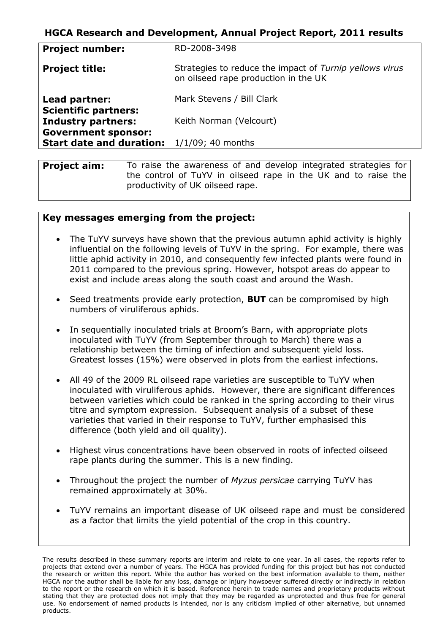## **HGCA Research and Development, Annual Project Report, 2011 results**

| Strategies to reduce the impact of Turnip yellows virus<br><b>Project title:</b><br>on oilseed rape production in the UK |  |
|--------------------------------------------------------------------------------------------------------------------------|--|
| Mark Stevens / Bill Clark<br>Lead partner:                                                                               |  |
| <b>Scientific partners:</b><br><b>Industry partners:</b><br>Keith Norman (Velcourt)                                      |  |
| <b>Government sponsor:</b><br><b>Start date and duration:</b><br>$1/1/09$ ; 40 months                                    |  |

**Project aim:** To raise the awareness of and develop integrated strategies for the control of TuYV in oilseed rape in the UK and to raise the productivity of UK oilseed rape.

#### **Key messages emerging from the project:**

- The TuYV surveys have shown that the previous autumn aphid activity is highly influential on the following levels of TuYV in the spring. For example, there was little aphid activity in 2010, and consequently few infected plants were found in 2011 compared to the previous spring. However, hotspot areas do appear to exist and include areas along the south coast and around the Wash.
- Seed treatments provide early protection, **BUT** can be compromised by high numbers of viruliferous aphids.
- In sequentially inoculated trials at Broom's Barn, with appropriate plots inoculated with TuYV (from September through to March) there was a relationship between the timing of infection and subsequent yield loss. Greatest losses (15%) were observed in plots from the earliest infections.
- All 49 of the 2009 RL oilseed rape varieties are susceptible to TuYV when inoculated with viruliferous aphids. However, there are significant differences between varieties which could be ranked in the spring according to their virus titre and symptom expression. Subsequent analysis of a subset of these varieties that varied in their response to TuYV, further emphasised this difference (both yield and oil quality).
- Highest virus concentrations have been observed in roots of infected oilseed rape plants during the summer. This is a new finding.
- Throughout the project the number of *Myzus persicae* carrying TuYV has remained approximately at 30%.
- TuYV remains an important disease of UK oilseed rape and must be considered as a factor that limits the yield potential of the crop in this country.

The results described in these summary reports are interim and relate to one year. In all cases, the reports refer to projects that extend over a number of years. The HGCA has provided funding for this project but has not conducted the research or written this report. While the author has worked on the best information available to them, neither HGCA nor the author shall be liable for any loss, damage or injury howsoever suffered directly or indirectly in relation to the report or the research on which it is based. Reference herein to trade names and proprietary products without stating that they are protected does not imply that they may be regarded as unprotected and thus free for general use. No endorsement of named products is intended, nor is any criticism implied of other alternative, but unnamed products.